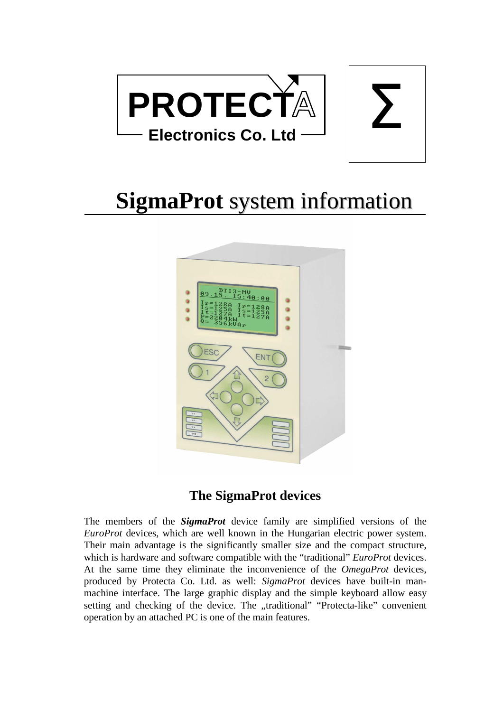

# **SigmaProt** system information



## **The SigmaProt devices**

The members of the *SigmaProt* device family are simplified versions of the *EuroProt* devices, which are well known in the Hungarian electric power system. Their main advantage is the significantly smaller size and the compact structure, which is hardware and software compatible with the "traditional" *EuroProt* devices. At the same time they eliminate the inconvenience of the *OmegaProt* devices, produced by Protecta Co. Ltd. as well: *SigmaProt* devices have built-in manmachine interface. The large graphic display and the simple keyboard allow easy setting and checking of the device. The "traditional" "Protecta-like" convenient operation by an attached PC is one of the main features.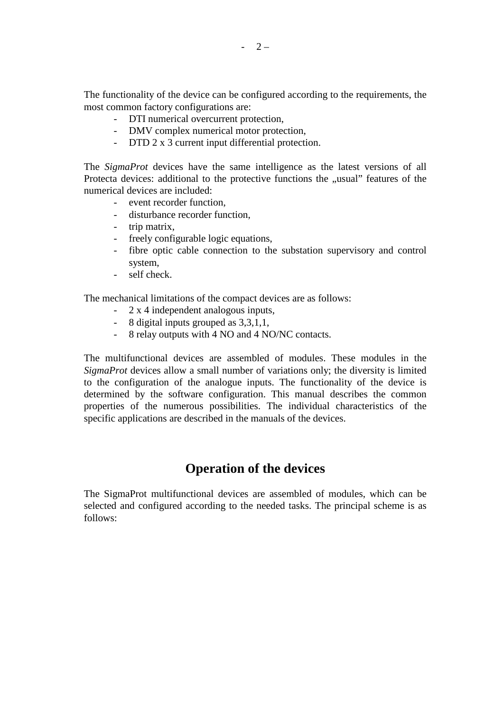The functionality of the device can be configured according to the requirements, the most common factory configurations are:

- DTI numerical overcurrent protection,
- DMV complex numerical motor protection,
- DTD 2 x 3 current input differential protection.

The *SigmaProt* devices have the same intelligence as the latest versions of all Protecta devices: additional to the protective functions the "usual" features of the numerical devices are included:

- event recorder function,
- disturbance recorder function,
- trip matrix,
- freely configurable logic equations,
- fibre optic cable connection to the substation supervisory and control system,
- self check.

The mechanical limitations of the compact devices are as follows:

- 2 x 4 independent analogous inputs,
- 8 digital inputs grouped as 3,3,1,1,
- 8 relay outputs with 4 NO and 4 NO/NC contacts.

The multifunctional devices are assembled of modules. These modules in the *SigmaProt* devices allow a small number of variations only; the diversity is limited to the configuration of the analogue inputs. The functionality of the device is determined by the software configuration. This manual describes the common properties of the numerous possibilities. The individual characteristics of the specific applications are described in the manuals of the devices.

### **Operation of the devices**

The SigmaProt multifunctional devices are assembled of modules, which can be selected and configured according to the needed tasks. The principal scheme is as follows: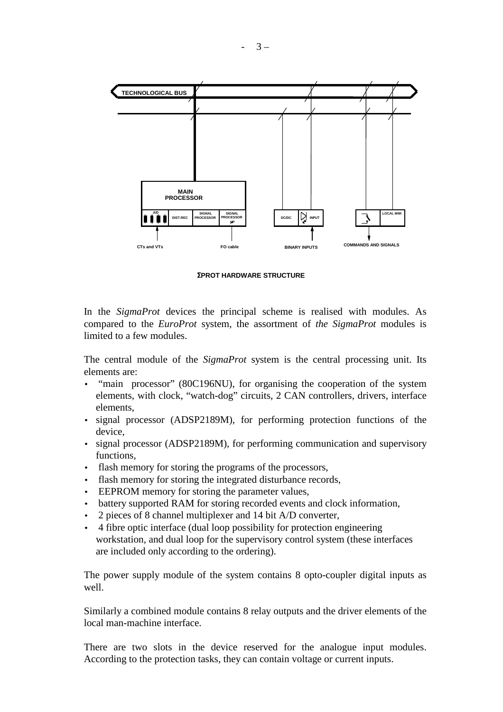

Σ**PROT HARDWARE STRUCTURE**

In the *SigmaProt* devices the principal scheme is realised with modules. As compared to the *EuroProt* system, the assortment of *the SigmaProt* modules is limited to a few modules.

The central module of the *SigmaProt* system is the central processing unit. Its elements are:

- "main processor" (80C196NU), for organising the cooperation of the system elements, with clock, "watch-dog" circuits, 2 CAN controllers, drivers, interface elements,
- signal processor (ADSP2189M), for performing protection functions of the device,
- signal processor (ADSP2189M), for performing communication and supervisory functions,
- flash memory for storing the programs of the processors,
- flash memory for storing the integrated disturbance records,
- EEPROM memory for storing the parameter values,
- battery supported RAM for storing recorded events and clock information,
- 2 pieces of 8 channel multiplexer and 14 bit A/D converter,
- 4 fibre optic interface (dual loop possibility for protection engineering workstation, and dual loop for the supervisory control system (these interfaces are included only according to the ordering).

The power supply module of the system contains 8 opto-coupler digital inputs as well.

Similarly a combined module contains 8 relay outputs and the driver elements of the local man-machine interface.

There are two slots in the device reserved for the analogue input modules. According to the protection tasks, they can contain voltage or current inputs.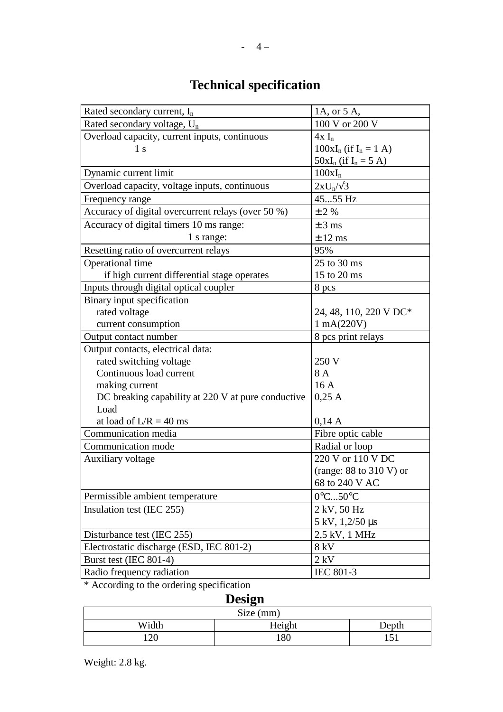## **Technical specification**

| Rated secondary current, $I_n$                     | 1A, or 5 A,                  |  |
|----------------------------------------------------|------------------------------|--|
| Rated secondary voltage, U <sub>n</sub>            | 100 V or 200 V               |  |
| Overload capacity, current inputs, continuous      | $4x I_n$                     |  |
| 1 <sub>s</sub>                                     | $100xI_n$ (if $I_n = 1$ A)   |  |
|                                                    | $50xI_n$ (if $I_n = 5 A$ )   |  |
| Dynamic current limit                              | $100xI_n$                    |  |
| Overload capacity, voltage inputs, continuous      | $2xU_n/\sqrt{3}$             |  |
| Frequency range                                    | 4555 Hz                      |  |
| Accuracy of digital overcurrent relays (over 50 %) | $±$ 2 %                      |  |
| Accuracy of digital timers 10 ms range:            | $\pm$ 3 ms                   |  |
| 1 s range:                                         | $\pm$ 12 ms                  |  |
| Resetting ratio of overcurrent relays              | 95%                          |  |
| Operational time                                   | 25 to 30 ms                  |  |
| if high current differential stage operates        | 15 to 20 ms                  |  |
| Inputs through digital optical coupler             | 8 pcs                        |  |
| Binary input specification                         |                              |  |
| rated voltage                                      | 24, 48, 110, 220 V DC*       |  |
| current consumption                                | $1 \text{ mA}(220 \text{V})$ |  |
| Output contact number                              | 8 pcs print relays           |  |
| Output contacts, electrical data:                  |                              |  |
| rated switching voltage                            | 250 V                        |  |
| Continuous load current                            | 8 A                          |  |
| making current                                     | 16A                          |  |
| DC breaking capability at 220 V at pure conductive | 0,25 A                       |  |
| Load                                               |                              |  |
| at load of $L/R = 40$ ms                           | 0,14A                        |  |
| Communication media                                | Fibre optic cable            |  |
| Communication mode                                 | Radial or loop               |  |
| Auxiliary voltage                                  | 220 V or 110 V DC            |  |
|                                                    | (range: $88$ to $310$ V) or  |  |
|                                                    | 68 to 240 V AC               |  |
| Permissible ambient temperature                    | $0^{\circ}$ C50 $^{\circ}$ C |  |
| Insulation test (IEC 255)                          | 2 kV, 50 Hz                  |  |
|                                                    | 5 kV, 1,2/50 µs              |  |
| Disturbance test (IEC 255)                         | 2,5 kV, 1 MHz                |  |
| Electrostatic discharge (ESD, IEC 801-2)           | 8 kV                         |  |
| Burst test (IEC 801-4)                             | $2$ kV                       |  |
| Radio frequency radiation                          | IEC 801-3                    |  |

\* According to the ordering specification

#### **Design**  Size (mm) Width Height Depth<br>120 180 151 120 180 151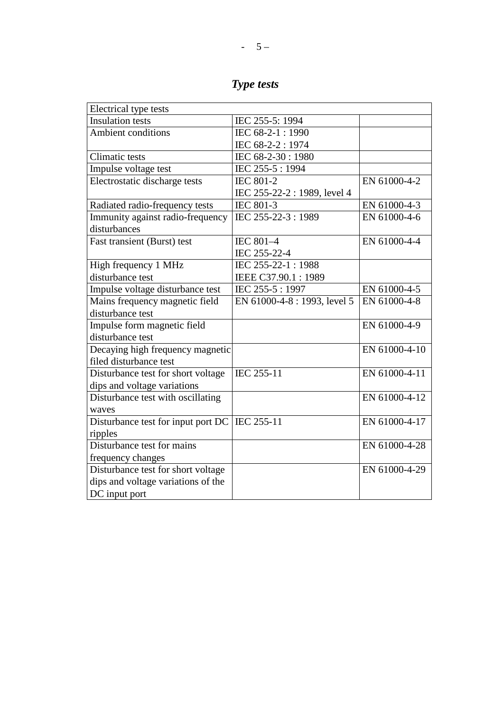| Type tests |  |
|------------|--|

| Electrical type tests              |                              |               |
|------------------------------------|------------------------------|---------------|
| <b>Insulation</b> tests            | IEC 255-5: 1994              |               |
| Ambient conditions                 | IEC 68-2-1:1990              |               |
|                                    | IEC 68-2-2: 1974             |               |
| <b>Climatic tests</b>              | IEC 68-2-30: 1980            |               |
| Impulse voltage test               | IEC 255-5: 1994              |               |
| Electrostatic discharge tests      | <b>IEC 801-2</b>             | EN 61000-4-2  |
|                                    | IEC 255-22-2 : 1989, level 4 |               |
| Radiated radio-frequency tests     | <b>IEC 801-3</b>             | EN 61000-4-3  |
| Immunity against radio-frequency   | IEC 255-22-3:1989            | EN 61000-4-6  |
| disturbances                       |                              |               |
| Fast transient (Burst) test        | IEC 801-4                    | EN 61000-4-4  |
|                                    | IEC 255-22-4                 |               |
| High frequency 1 MHz               | IEC 255-22-1:1988            |               |
| disturbance test                   | IEEE C37.90.1:1989           |               |
| Impulse voltage disturbance test   | IEC 255-5:1997               | EN 61000-4-5  |
| Mains frequency magnetic field     | EN 61000-4-8 : 1993, level 5 | EN 61000-4-8  |
| disturbance test                   |                              |               |
| Impulse form magnetic field        |                              | EN 61000-4-9  |
| disturbance test                   |                              |               |
| Decaying high frequency magnetic   |                              | EN 61000-4-10 |
| filed disturbance test             |                              |               |
| Disturbance test for short voltage | IEC 255-11                   | EN 61000-4-11 |
| dips and voltage variations        |                              |               |
| Disturbance test with oscillating  |                              | EN 61000-4-12 |
| waves                              |                              |               |
| Disturbance test for input port DC | IEC 255-11                   | EN 61000-4-17 |
| ripples                            |                              |               |
| Disturbance test for mains         |                              | EN 61000-4-28 |
| frequency changes                  |                              |               |
| Disturbance test for short voltage |                              | EN 61000-4-29 |
| dips and voltage variations of the |                              |               |
| DC input port                      |                              |               |